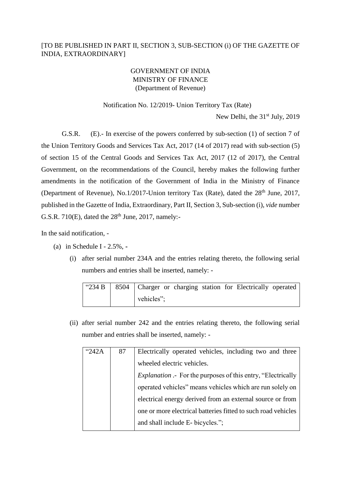## [TO BE PUBLISHED IN PART II, SECTION 3, SUB-SECTION (i) OF THE GAZETTE OF INDIA, EXTRAORDINARY]

## GOVERNMENT OF INDIA MINISTRY OF FINANCE (Department of Revenue)

## Notification No. 12/2019- Union Territory Tax (Rate)

New Delhi, the 31<sup>st</sup> July, 2019

G.S.R. (E).- In exercise of the powers conferred by sub-section (1) of section 7 of the Union Territory Goods and Services Tax Act, 2017 (14 of 2017) read with sub-section (5) of section 15 of the Central Goods and Services Tax Act, 2017 (12 of 2017), the Central Government, on the recommendations of the Council, hereby makes the following further amendments in the notification of the Government of India in the Ministry of Finance (Department of Revenue), No.1/2017-Union territory Tax (Rate), dated the  $28<sup>th</sup>$  June, 2017, published in the Gazette of India, Extraordinary, Part II, Section 3, Sub-section (i), *vide* number G.S.R.  $710(E)$ , dated the  $28<sup>th</sup>$  June, 2017, namely:-

In the said notification, -

- (a) in Schedule I 2.5%, **-**
	- (i) after serial number 234A and the entries relating thereto, the following serial numbers and entries shall be inserted, namely: -

| " $234 B$ |            |  |  |  | 8504   Charger or charging station for Electrically operated |  |
|-----------|------------|--|--|--|--------------------------------------------------------------|--|
|           | vehicles"; |  |  |  |                                                              |  |

(ii) after serial number 242 and the entries relating thereto, the following serial number and entries shall be inserted, namely: -

| "242A | 87 | Electrically operated vehicles, including two and three             |
|-------|----|---------------------------------------------------------------------|
|       |    | wheeled electric vehicles.                                          |
|       |    | <i>Explanation</i> .- For the purposes of this entry, "Electrically |
|       |    | operated vehicles" means vehicles which are run solely on           |
|       |    | electrical energy derived from an external source or from           |
|       |    | one or more electrical batteries fitted to such road vehicles       |
|       |    | and shall include E- bicycles.";                                    |